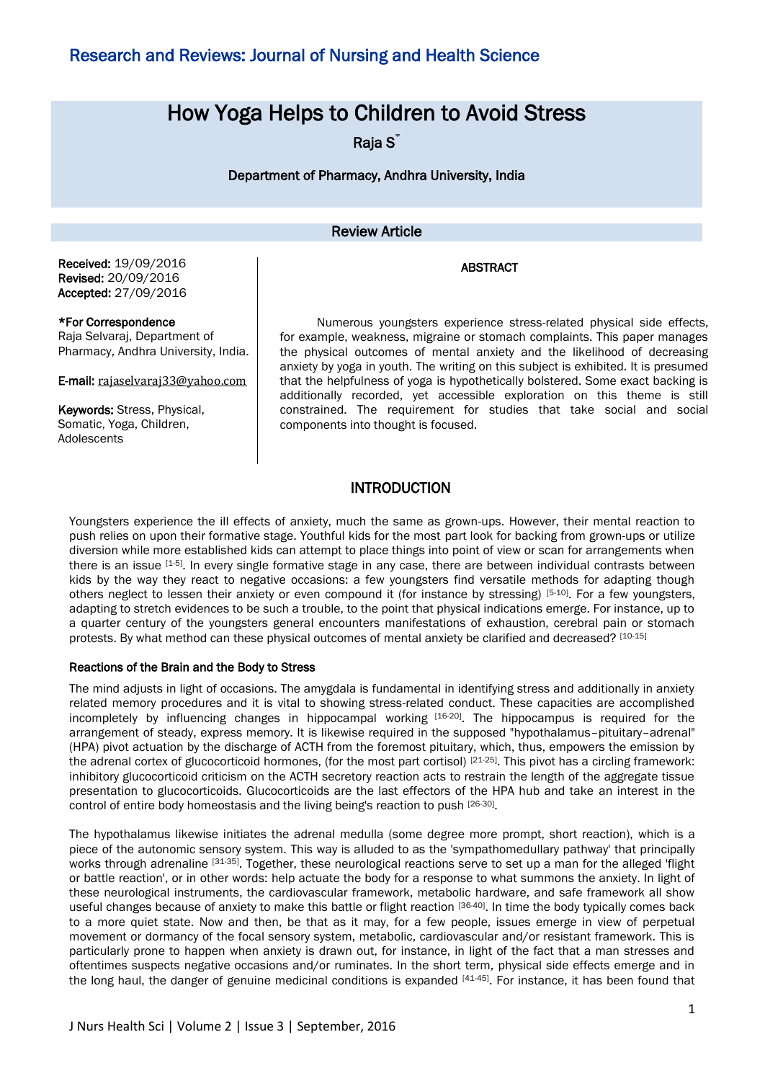# How Yoga Helps to Children to Avoid Stress

Raja S<sup>\*</sup>

Department of Pharmacy, Andhra University, India

### Review Article

#### ABSTRACT

Received: 19/09/2016 Revised: 20/09/2016 Accepted: 27/09/2016

#### \*For Correspondence

Raja Selvaraj, Department of Pharmacy, Andhra University, India.

E-mail: [rajaselvaraj33@yahoo.com](mailto:rajaselvaraj33@yahoo.com)

Keywords: Stress, Physical, Somatic, Yoga, Children, Adolescents

Numerous youngsters experience stress-related physical side effects, for example, weakness, migraine or stomach complaints. This paper manages the physical outcomes of mental anxiety and the likelihood of decreasing anxiety by yoga in youth. The writing on this subject is exhibited. It is presumed that the helpfulness of yoga is hypothetically bolstered. Some exact backing is additionally recorded, yet accessible exploration on this theme is still constrained. The requirement for studies that take social and social components into thought is focused.

### INTRODUCTION

Youngsters experience the ill effects of anxiety, much the same as grown-ups. However, their mental reaction to push relies on upon their formative stage. Youthful kids for the most part look for backing from grown-ups or utilize diversion while more established kids can attempt to place things into point of view or scan for arrangements when there is an issue [1-5]. In every single formative stage in any case, there are between individual contrasts between kids by the way they react to negative occasions: a few youngsters find versatile methods for adapting though others neglect to lessen their anxiety or even compound it (for instance by stressing) [5-10]. For a few youngsters, adapting to stretch evidences to be such a trouble, to the point that physical indications emerge. For instance, up to a quarter century of the youngsters general encounters manifestations of exhaustion, cerebral pain or stomach protests. By what method can these physical outcomes of mental anxiety be clarified and decreased? [10-15]

#### Reactions of the Brain and the Body to Stress

The mind adjusts in light of occasions. The amygdala is fundamental in identifying stress and additionally in anxiety related memory procedures and it is vital to showing stress-related conduct. These capacities are accomplished incompletely by influencing changes in hippocampal working [16-20] . The hippocampus is required for the arrangement of steady, express memory. It is likewise required in the supposed "hypothalamus–pituitary–adrenal" (HPA) pivot actuation by the discharge of ACTH from the foremost pituitary, which, thus, empowers the emission by the adrenal cortex of glucocorticoid hormones, (for the most part cortisol) [21-25]. This pivot has a circling framework: inhibitory glucocorticoid criticism on the ACTH secretory reaction acts to restrain the length of the aggregate tissue presentation to glucocorticoids. Glucocorticoids are the last effectors of the HPA hub and take an interest in the control of entire body homeostasis and the living being's reaction to push [26-30].

The hypothalamus likewise initiates the adrenal medulla (some degree more prompt, short reaction), which is a piece of the autonomic sensory system. This way is alluded to as the 'sympathomedullary pathway' that principally works through adrenaline [31-35]. Together, these neurological reactions serve to set up a man for the alleged 'flight or battle reaction', or in other words: help actuate the body for a response to what summons the anxiety. In light of these neurological instruments, the cardiovascular framework, metabolic hardware, and safe framework all show useful changes because of anxiety to make this battle or flight reaction [36-40]. In time the body typically comes back to a more quiet state. Now and then, be that as it may, for a few people, issues emerge in view of perpetual movement or dormancy of the focal sensory system, metabolic, cardiovascular and/or resistant framework. This is particularly prone to happen when anxiety is drawn out, for instance, in light of the fact that a man stresses and oftentimes suspects negative occasions and/or ruminates. In the short term, physical side effects emerge and in the long haul, the danger of genuine medicinal conditions is expanded [41-45]. For instance, it has been found that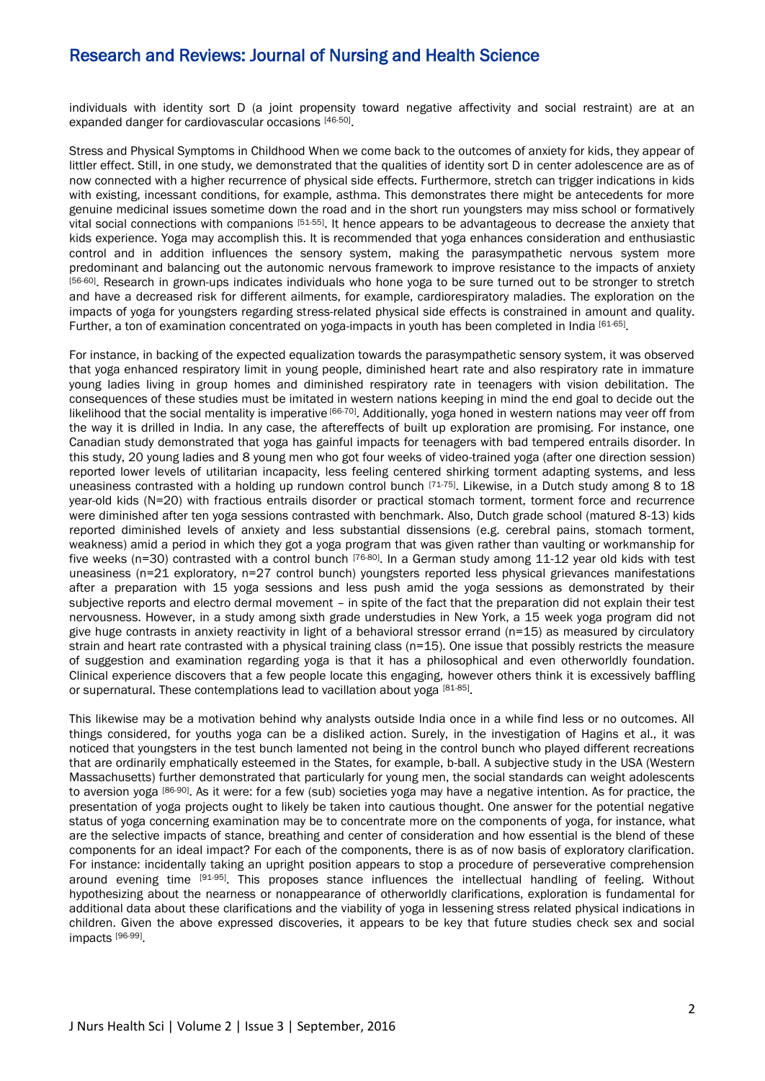individuals with identity sort D (a joint propensity toward negative affectivity and social restraint) are at an expanded danger for cardiovascular occasions [46-50].

Stress and Physical Symptoms in Childhood When we come back to the outcomes of anxiety for kids, they appear of littler effect. Still, in one study, we demonstrated that the qualities of identity sort D in center adolescence are as of now connected with a higher recurrence of physical side effects. Furthermore, stretch can trigger indications in kids with existing, incessant conditions, for example, asthma. This demonstrates there might be antecedents for more genuine medicinal issues sometime down the road and in the short run youngsters may miss school or formatively vital social connections with companions [51-55]. It hence appears to be advantageous to decrease the anxiety that kids experience. Yoga may accomplish this. It is recommended that yoga enhances consideration and enthusiastic control and in addition influences the sensory system, making the parasympathetic nervous system more predominant and balancing out the autonomic nervous framework to improve resistance to the impacts of anxiety [56-60]. Research in grown-ups indicates individuals who hone yoga to be sure turned out to be stronger to stretch and have a decreased risk for different ailments, for example, cardiorespiratory maladies. The exploration on the impacts of yoga for youngsters regarding stress-related physical side effects is constrained in amount and quality. Further, a ton of examination concentrated on yoga-impacts in youth has been completed in India [61-65].

For instance, in backing of the expected equalization towards the parasympathetic sensory system, it was observed that yoga enhanced respiratory limit in young people, diminished heart rate and also respiratory rate in immature young ladies living in group homes and diminished respiratory rate in teenagers with vision debilitation. The consequences of these studies must be imitated in western nations keeping in mind the end goal to decide out the likelihood that the social mentality is imperative [66-70]. Additionally, yoga honed in western nations may veer off from the way it is drilled in India. In any case, the aftereffects of built up exploration are promising. For instance, one Canadian study demonstrated that yoga has gainful impacts for teenagers with bad tempered entrails disorder. In this study, 20 young ladies and 8 young men who got four weeks of video-trained yoga (after one direction session) reported lower levels of utilitarian incapacity, less feeling centered shirking torment adapting systems, and less uneasiness contrasted with a holding up rundown control bunch  $[71-75]$ . Likewise, in a Dutch study among 8 to 18 year-old kids (N=20) with fractious entrails disorder or practical stomach torment, torment force and recurrence were diminished after ten yoga sessions contrasted with benchmark. Also, Dutch grade school (matured 8-13) kids reported diminished levels of anxiety and less substantial dissensions (e.g. cerebral pains, stomach torment, weakness) amid a period in which they got a yoga program that was given rather than vaulting or workmanship for five weeks (n=30) contrasted with a control bunch [76-80]. In a German study among 11-12 year old kids with test uneasiness (n=21 exploratory, n=27 control bunch) youngsters reported less physical grievances manifestations after a preparation with 15 yoga sessions and less push amid the yoga sessions as demonstrated by their subjective reports and electro dermal movement – in spite of the fact that the preparation did not explain their test nervousness. However, in a study among sixth grade understudies in New York, a 15 week yoga program did not give huge contrasts in anxiety reactivity in light of a behavioral stressor errand (n=15) as measured by circulatory strain and heart rate contrasted with a physical training class (n=15). One issue that possibly restricts the measure of suggestion and examination regarding yoga is that it has a philosophical and even otherworldly foundation. Clinical experience discovers that a few people locate this engaging, however others think it is excessively baffling or supernatural. These contemplations lead to vacillation about yoga [81-85].

This likewise may be a motivation behind why analysts outside India once in a while find less or no outcomes. All things considered, for youths yoga can be a disliked action. Surely, in the investigation of Hagins et al., it was noticed that youngsters in the test bunch lamented not being in the control bunch who played different recreations that are ordinarily emphatically esteemed in the States, for example, b-ball. A subjective study in the USA (Western Massachusetts) further demonstrated that particularly for young men, the social standards can weight adolescents to aversion yoga [86-90]. As it were: for a few (sub) societies yoga may have a negative intention. As for practice, the presentation of yoga projects ought to likely be taken into cautious thought. One answer for the potential negative status of yoga concerning examination may be to concentrate more on the components of yoga, for instance, what are the selective impacts of stance, breathing and center of consideration and how essential is the blend of these components for an ideal impact? For each of the components, there is as of now basis of exploratory clarification. For instance: incidentally taking an upright position appears to stop a procedure of perseverative comprehension around evening time [91-95]. This proposes stance influences the intellectual handling of feeling. Without hypothesizing about the nearness or nonappearance of otherworldly clarifications, exploration is fundamental for additional data about these clarifications and the viability of yoga in lessening stress related physical indications in children. Given the above expressed discoveries, it appears to be key that future studies check sex and social impacts [96-99] .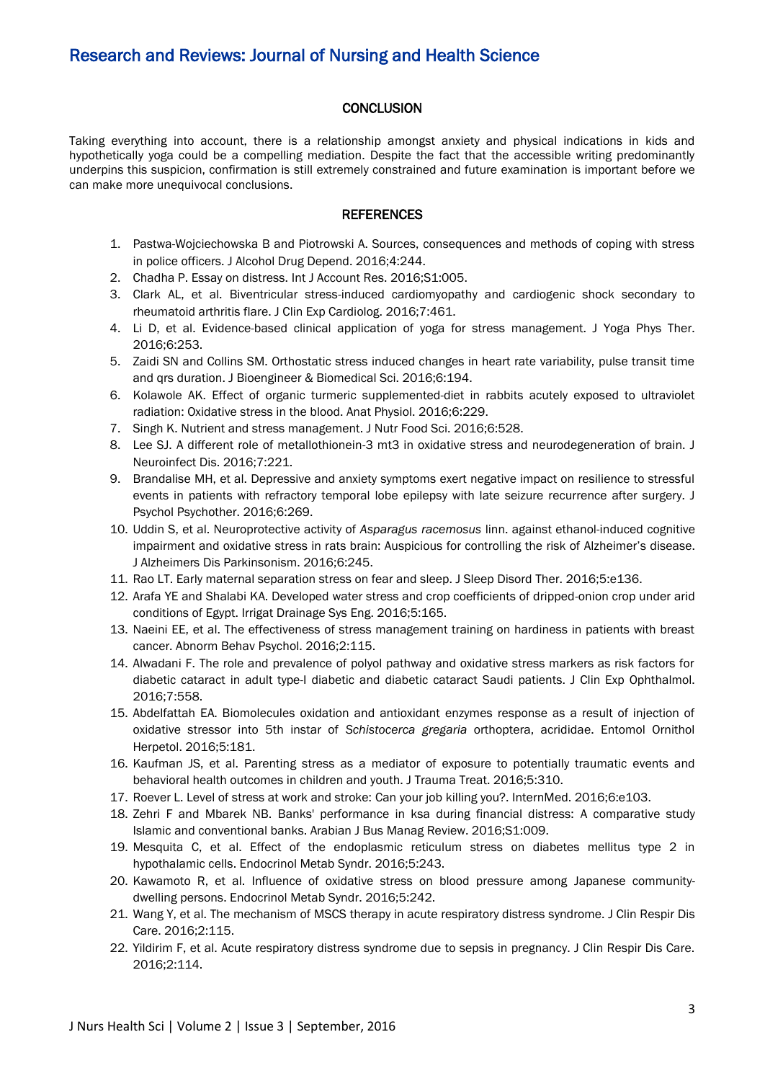### **CONCLUSION**

Taking everything into account, there is a relationship amongst anxiety and physical indications in kids and hypothetically yoga could be a compelling mediation. Despite the fact that the accessible writing predominantly underpins this suspicion, confirmation is still extremely constrained and future examination is important before we can make more unequivocal conclusions.

### **REFERENCES**

- 1. Pastwa-Wojciechowska B and Piotrowski A. Sources, consequences and methods of coping with stress in police officers. J Alcohol Drug Depend. 2016;4:244.
- 2. Chadha P. Essay on distress. Int J Account Res. 2016;S1:005.
- 3. Clark AL, et al. Biventricular stress-induced cardiomyopathy and cardiogenic shock secondary to rheumatoid arthritis flare. J Clin Exp Cardiolog. 2016;7:461.
- 4. Li D, et al. Evidence-based clinical application of yoga for stress management. J Yoga Phys Ther. 2016;6:253.
- 5. Zaidi SN and Collins SM. Orthostatic stress induced changes in heart rate variability, pulse transit time and qrs duration. J Bioengineer & Biomedical Sci. 2016;6:194.
- 6. Kolawole AK. Effect of organic turmeric supplemented-diet in rabbits acutely exposed to ultraviolet radiation: Oxidative stress in the blood. Anat Physiol. 2016;6:229.
- 7. Singh K. Nutrient and stress management. J Nutr Food Sci. 2016;6:528.
- 8. Lee SJ. A different role of metallothionein-3 mt3 in oxidative stress and neurodegeneration of brain. J Neuroinfect Dis. 2016;7:221.
- 9. Brandalise MH, et al. Depressive and anxiety symptoms exert negative impact on resilience to stressful events in patients with refractory temporal lobe epilepsy with late seizure recurrence after surgery. J Psychol Psychother. 2016;6:269.
- 10. Uddin S, et al. Neuroprotective activity of *Asparagus racemosus* linn. against ethanol-induced cognitive impairment and oxidative stress in rats brain: Auspicious for controlling the risk of Alzheimer's disease. J Alzheimers Dis Parkinsonism. 2016;6:245.
- 11. Rao LT. Early maternal separation stress on fear and sleep. J Sleep Disord Ther. 2016;5:e136.
- 12. Arafa YE and Shalabi KA. Developed water stress and crop coefficients of dripped-onion crop under arid conditions of Egypt. Irrigat Drainage Sys Eng. 2016;5:165.
- 13. Naeini EE, et al. The effectiveness of stress management training on hardiness in patients with breast cancer. Abnorm Behav Psychol. 2016;2:115.
- 14. Alwadani F. The role and prevalence of polyol pathway and oxidative stress markers as risk factors for diabetic cataract in adult type-I diabetic and diabetic cataract Saudi patients. J Clin Exp Ophthalmol. 2016;7:558.
- 15. Abdelfattah EA. Biomolecules oxidation and antioxidant enzymes response as a result of injection of oxidative stressor into 5th instar of *Schistocerca gregaria* orthoptera, acrididae. Entomol Ornithol Herpetol. 2016;5:181.
- 16. Kaufman JS, et al. Parenting stress as a mediator of exposure to potentially traumatic events and behavioral health outcomes in children and youth. J Trauma Treat. 2016;5:310.
- 17. Roever L. Level of stress at work and stroke: Can your job killing you?. InternMed. 2016;6:e103.
- 18. Zehri F and Mbarek NB. Banks' performance in ksa during financial distress: A comparative study Islamic and conventional banks. Arabian J Bus Manag Review. 2016;S1:009.
- 19. Mesquita C, et al. Effect of the endoplasmic reticulum stress on diabetes mellitus type 2 in hypothalamic cells. Endocrinol Metab Syndr. 2016;5:243.
- 20. Kawamoto R, et al. Influence of oxidative stress on blood pressure among Japanese communitydwelling persons. Endocrinol Metab Syndr. 2016;5:242.
- 21. Wang Y, et al. The mechanism of MSCS therapy in acute respiratory distress syndrome. J Clin Respir Dis Care. 2016;2:115.
- 22. Yildirim F, et al. Acute respiratory distress syndrome due to sepsis in pregnancy. J Clin Respir Dis Care. 2016;2:114.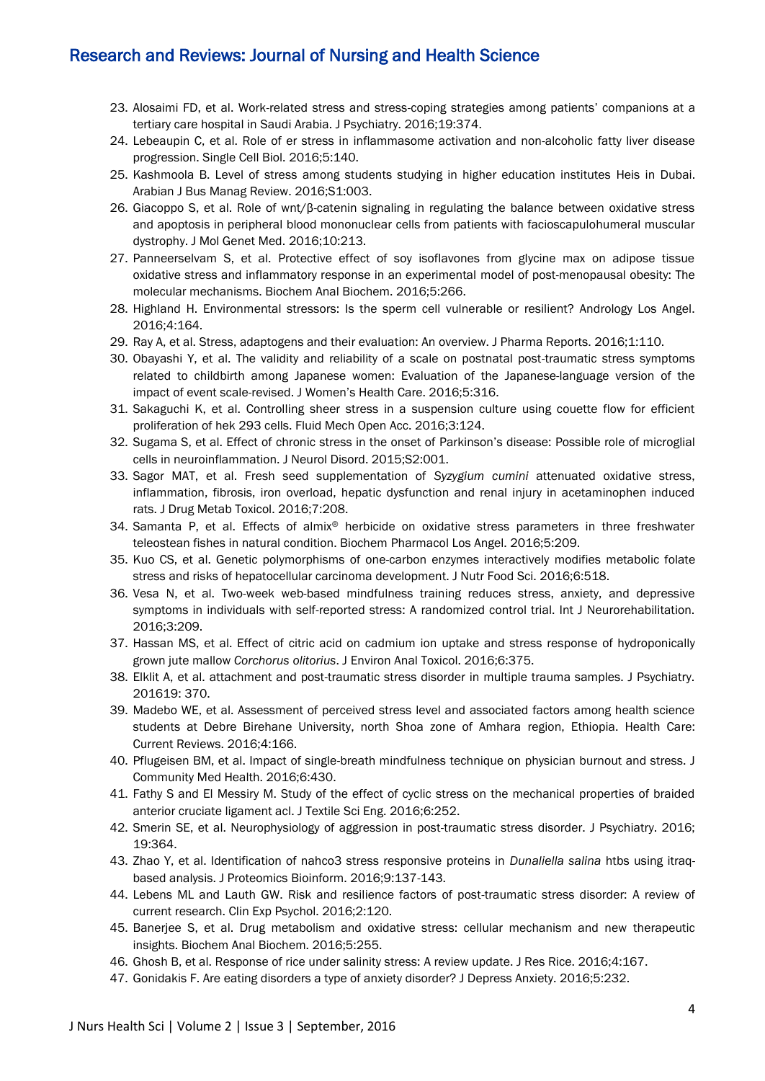- 23. Alosaimi FD, et al. Work-related stress and stress-coping strategies among patients' companions at a tertiary care hospital in Saudi Arabia. J Psychiatry. 2016;19:374.
- 24. Lebeaupin C, et al. Role of er stress in inflammasome activation and non-alcoholic fatty liver disease progression. Single Cell Biol. 2016;5:140.
- 25. Kashmoola B. Level of stress among students studying in higher education institutes Heis in Dubai. Arabian J Bus Manag Review. 2016;S1:003.
- 26. Giacoppo S, et al. Role of wnt/β-catenin signaling in regulating the balance between oxidative stress and apoptosis in peripheral blood mononuclear cells from patients with facioscapulohumeral muscular dystrophy. J Mol Genet Med. 2016;10:213.
- 27. Panneerselvam S, et al. Protective effect of soy isoflavones from glycine max on adipose tissue oxidative stress and inflammatory response in an experimental model of post-menopausal obesity: The molecular mechanisms. Biochem Anal Biochem. 2016;5:266.
- 28. Highland H. Environmental stressors: Is the sperm cell vulnerable or resilient? Andrology Los Angel. 2016;4:164.
- 29. Ray A, et al. Stress, adaptogens and their evaluation: An overview. J Pharma Reports. 2016;1:110.
- 30. Obayashi Y, et al. The validity and reliability of a scale on postnatal post-traumatic stress symptoms related to childbirth among Japanese women: Evaluation of the Japanese-language version of the impact of event scale-revised. J Women's Health Care. 2016;5:316.
- 31. Sakaguchi K, et al. Controlling sheer stress in a suspension culture using couette flow for efficient proliferation of hek 293 cells. Fluid Mech Open Acc. 2016;3:124.
- 32. Sugama S, et al. Effect of chronic stress in the onset of Parkinson's disease: Possible role of microglial cells in neuroinflammation. J Neurol Disord. 2015;S2:001.
- 33. Sagor MAT, et al. Fresh seed supplementation of *Syzygium cumini* attenuated oxidative stress, inflammation, fibrosis, iron overload, hepatic dysfunction and renal injury in acetaminophen induced rats. J Drug Metab Toxicol. 2016;7:208.
- 34. Samanta P, et al. Effects of almix® herbicide on oxidative stress parameters in three freshwater teleostean fishes in natural condition. Biochem Pharmacol Los Angel. 2016;5:209.
- 35. Kuo CS, et al. Genetic polymorphisms of one-carbon enzymes interactively modifies metabolic folate stress and risks of hepatocellular carcinoma development. J Nutr Food Sci. 2016;6:518.
- 36. Vesa N, et al. Two-week web-based mindfulness training reduces stress, anxiety, and depressive symptoms in individuals with self-reported stress: A randomized control trial. Int J Neurorehabilitation. 2016;3:209.
- 37. Hassan MS, et al. Effect of citric acid on cadmium ion uptake and stress response of hydroponically grown jute mallow *Corchorus olitorius*. J Environ Anal Toxicol. 2016;6:375.
- 38. Elklit A, et al. attachment and post-traumatic stress disorder in multiple trauma samples. J Psychiatry. 201619: 370.
- 39. Madebo WE, et al. Assessment of perceived stress level and associated factors among health science students at Debre Birehane University, north Shoa zone of Amhara region, Ethiopia. Health Care: Current Reviews. 2016;4:166.
- 40. Pflugeisen BM, et al. Impact of single-breath mindfulness technique on physician burnout and stress. J Community Med Health. 2016;6:430.
- 41. Fathy S and El Messiry M. Study of the effect of cyclic stress on the mechanical properties of braided anterior cruciate ligament acl. J Textile Sci Eng. 2016;6:252.
- 42. Smerin SE, et al. Neurophysiology of aggression in post-traumatic stress disorder. J Psychiatry. 2016; 19:364.
- 43. Zhao Y, et al. Identification of nahco3 stress responsive proteins in *Dunaliella salina* htbs using itraqbased analysis. J Proteomics Bioinform. 2016;9:137-143.
- 44. Lebens ML and Lauth GW. Risk and resilience factors of post-traumatic stress disorder: A review of current research. Clin Exp Psychol. 2016;2:120.
- 45. Banerjee S, et al. Drug metabolism and oxidative stress: cellular mechanism and new therapeutic insights. Biochem Anal Biochem. 2016;5:255.
- 46. Ghosh B, et al. Response of rice under salinity stress: A review update. J Res Rice. 2016;4:167.
- 47. Gonidakis F. Are eating disorders a type of anxiety disorder? J Depress Anxiety. 2016;5:232.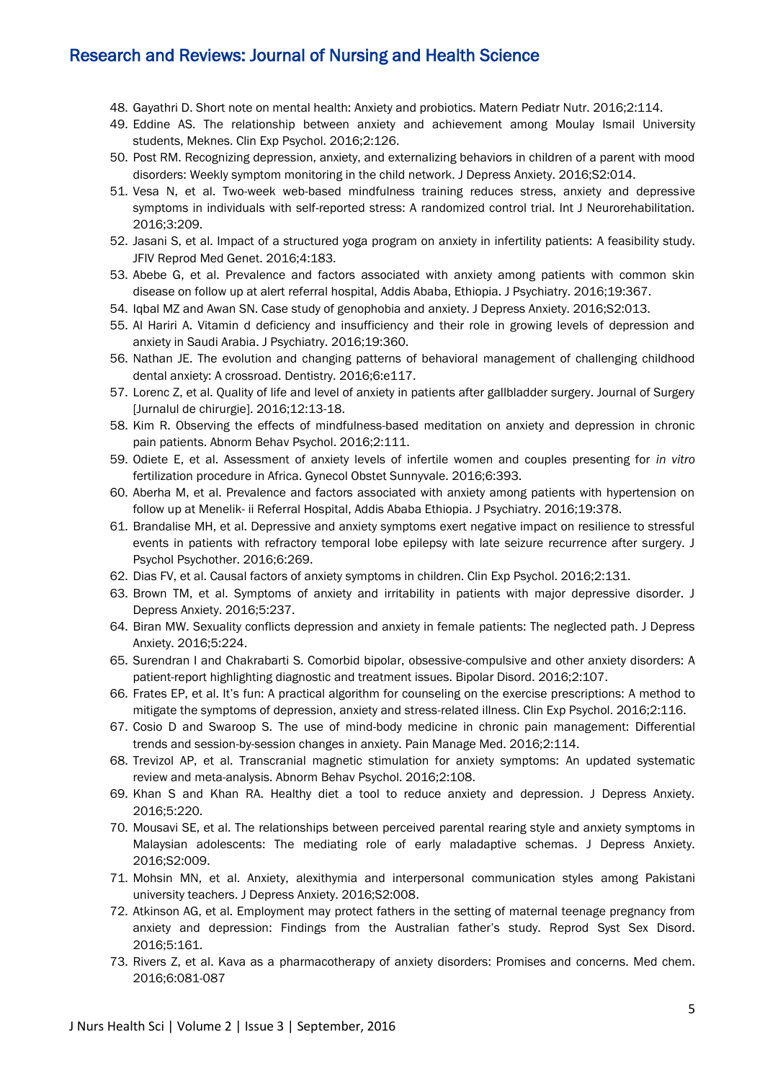- 48. Gayathri D. Short note on mental health: Anxiety and probiotics. Matern Pediatr Nutr. 2016;2:114.
- 49. Eddine AS. The relationship between anxiety and achievement among Moulay Ismail University students, Meknes. Clin Exp Psychol. 2016;2:126.
- 50. Post RM. Recognizing depression, anxiety, and externalizing behaviors in children of a parent with mood disorders: Weekly symptom monitoring in the child network. J Depress Anxiety. 2016;S2:014.
- 51. Vesa N, et al. Two-week web-based mindfulness training reduces stress, anxiety and depressive symptoms in individuals with self-reported stress: A randomized control trial. Int J Neurorehabilitation. 2016;3:209.
- 52. Jasani S, et al. Impact of a structured yoga program on anxiety in infertility patients: A feasibility study. JFIV Reprod Med Genet. 2016;4:183.
- 53. Abebe G, et al. Prevalence and factors associated with anxiety among patients with common skin disease on follow up at alert referral hospital, Addis Ababa, Ethiopia. J Psychiatry. 2016;19:367.
- 54. Iqbal MZ and Awan SN. Case study of genophobia and anxiety. J Depress Anxiety. 2016;S2:013.
- 55. Al Hariri A. Vitamin d deficiency and insufficiency and their role in growing levels of depression and anxiety in Saudi Arabia. J Psychiatry. 2016;19:360.
- 56. Nathan JE. The evolution and changing patterns of behavioral management of challenging childhood dental anxiety: A crossroad. Dentistry. 2016;6:e117.
- 57. Lorenc Z, et al. Quality of life and level of anxiety in patients after gallbladder surgery. Journal of Surgery [Jurnalul de chirurgie]. 2016;12:13-18.
- 58. Kim R. Observing the effects of mindfulness-based meditation on anxiety and depression in chronic pain patients. Abnorm Behav Psychol. 2016;2:111.
- 59. Odiete E, et al. Assessment of anxiety levels of infertile women and couples presenting for *in vitro* fertilization procedure in Africa. Gynecol Obstet Sunnyvale. 2016;6:393.
- 60. Aberha M, et al. Prevalence and factors associated with anxiety among patients with hypertension on follow up at Menelik- ii Referral Hospital, Addis Ababa Ethiopia. J Psychiatry. 2016;19:378.
- 61. Brandalise MH, et al. Depressive and anxiety symptoms exert negative impact on resilience to stressful events in patients with refractory temporal lobe epilepsy with late seizure recurrence after surgery. J Psychol Psychother. 2016;6:269.
- 62. Dias FV, et al. Causal factors of anxiety symptoms in children. Clin Exp Psychol. 2016;2:131.
- 63. Brown TM, et al. Symptoms of anxiety and irritability in patients with major depressive disorder. J Depress Anxiety. 2016;5:237.
- 64. Biran MW. Sexuality conflicts depression and anxiety in female patients: The neglected path. J Depress Anxiety. 2016;5:224.
- 65. Surendran I and Chakrabarti S. Comorbid bipolar, obsessive-compulsive and other anxiety disorders: A patient-report highlighting diagnostic and treatment issues. Bipolar Disord. 2016;2:107.
- 66. Frates EP, et al. It's fun: A practical algorithm for counseling on the exercise prescriptions: A method to mitigate the symptoms of depression, anxiety and stress-related illness. Clin Exp Psychol. 2016;2:116.
- 67. Cosio D and Swaroop S. The use of mind-body medicine in chronic pain management: Differential trends and session-by-session changes in anxiety. Pain Manage Med. 2016;2:114.
- 68. Trevizol AP, et al. Transcranial magnetic stimulation for anxiety symptoms: An updated systematic review and meta-analysis. Abnorm Behav Psychol. 2016;2:108.
- 69. Khan S and Khan RA. Healthy diet a tool to reduce anxiety and depression. J Depress Anxiety. 2016;5:220.
- 70. Mousavi SE, et al. The relationships between perceived parental rearing style and anxiety symptoms in Malaysian adolescents: The mediating role of early maladaptive schemas. J Depress Anxiety. 2016;S2:009.
- 71. Mohsin MN, et al. Anxiety, alexithymia and interpersonal communication styles among Pakistani university teachers. J Depress Anxiety. 2016;S2:008.
- 72. Atkinson AG, et al. Employment may protect fathers in the setting of maternal teenage pregnancy from anxiety and depression: Findings from the Australian father's study. Reprod Syst Sex Disord. 2016;5:161.
- 73. Rivers Z, et al. Kava as a pharmacotherapy of anxiety disorders: Promises and concerns. Med chem. 2016;6:081-087